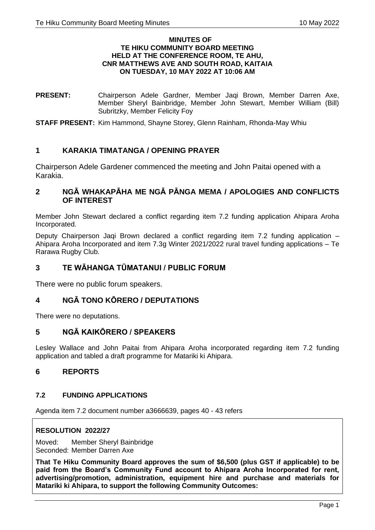#### **MINUTES OF TE HIKU COMMUNITY BOARD MEETING HELD AT THE CONFERENCE ROOM, TE AHU, CNR MATTHEWS AVE AND SOUTH ROAD, KAITAIA ON TUESDAY, 10 MAY 2022 AT 10:06 AM**

**PRESENT:** Chairperson Adele Gardner, Member Jaqi Brown, Member Darren Axe, Member Sheryl Bainbridge, Member John Stewart, Member William (Bill) Subritzky, Member Felicity Foy

**STAFF PRESENT:** Kim Hammond, Shayne Storey, Glenn Rainham, Rhonda-May Whiu

## **1 KARAKIA TIMATANGA / OPENING PRAYER**

Chairperson Adele Gardener commenced the meeting and John Paitai opened with a Karakia.

## **2 NGĀ WHAKAPĀHA ME NGĀ PĀNGA MEMA / APOLOGIES AND CONFLICTS OF INTEREST**

Member John Stewart declared a conflict regarding item 7.2 funding application Ahipara Aroha Incorporated.

Deputy Chairperson Jaqi Brown declared a conflict regarding item 7.2 funding application – Ahipara Aroha Incorporated and item 7.3g Winter 2021/2022 rural travel funding applications – Te Rarawa Rugby Club.

## **3 TE WĀHANGA TŪMATANUI / PUBLIC FORUM**

There were no public forum speakers.

# **4 NGĀ TONO KŌRERO / DEPUTATIONS**

There were no deputations.

# **5 NGĀ KAIKŌRERO / SPEAKERS**

Lesley Wallace and John Paitai from Ahipara Aroha incorporated regarding item 7.2 funding application and tabled a draft programme for Matariki ki Ahipara.

## **6 REPORTS**

## **7.2 FUNDING APPLICATIONS**

Agenda item 7.2 document number a3666639, pages 40 - 43 refers

#### **RESOLUTION 2022/27**

Moved: Member Sheryl Bainbridge Seconded: Member Darren Axe

**That Te Hiku Community Board approves the sum of \$6,500 (plus GST if applicable) to be paid from the Board's Community Fund account to Ahipara Aroha Incorporated for rent, advertising/promotion, administration, equipment hire and purchase and materials for Matariki ki Ahipara, to support the following Community Outcomes:**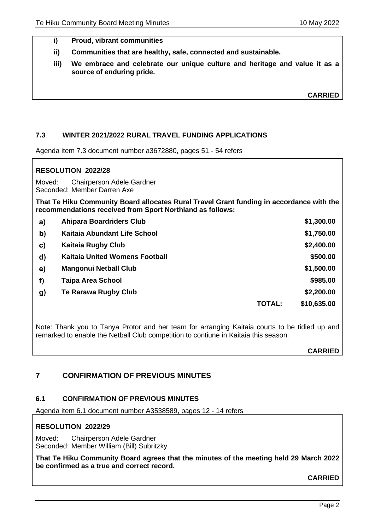- **i) Proud, vibrant communities**
- **ii) Communities that are healthy, safe, connected and sustainable.**
- **iii) We embrace and celebrate our unique culture and heritage and value it as a source of enduring pride.**

**CARRIED**

## **7.3 WINTER 2021/2022 RURAL TRAVEL FUNDING APPLICATIONS**

Agenda item 7.3 document number a3672880, pages 51 - 54 refers

## **RESOLUTION 2022/28**

Moved: Chairperson Adele Gardner Seconded: Member Darren Axe

**That Te Hiku Community Board allocates Rural Travel Grant funding in accordance with the recommendations received from Sport Northland as follows:**

| a)           | <b>Ahipara Boardriders Club</b>       |               | \$1,300.00  |
|--------------|---------------------------------------|---------------|-------------|
| $\mathbf{b}$ | Kaitaia Abundant Life School          |               | \$1,750.00  |
| $\mathbf{c}$ | <b>Kaitaia Rugby Club</b>             |               | \$2,400.00  |
| $\mathbf{d}$ | <b>Kaitaia United Womens Football</b> |               | \$500.00    |
| e)           | <b>Mangonui Netball Club</b>          |               | \$1,500.00  |
| f)           | <b>Taipa Area School</b>              |               | \$985.00    |
| $\mathbf{g}$ | Te Rarawa Rugby Club                  |               | \$2,200.00  |
|              |                                       | <b>TOTAL:</b> | \$10,635.00 |

Note: Thank you to Tanya Protor and her team for arranging Kaitaia courts to be tidied up and remarked to enable the Netball Club competition to contiune in Kaitaia this season.

**CARRIED**

## **7 CONFIRMATION OF PREVIOUS MINUTES**

#### **6.1 CONFIRMATION OF PREVIOUS MINUTES**

Agenda item 6.1 document number A3538589, pages 12 - 14 refers

## **RESOLUTION 2022/29**

Moved: Chairperson Adele Gardner Seconded: Member William (Bill) Subritzky

**That Te Hiku Community Board agrees that the minutes of the meeting held 29 March 2022 be confirmed as a true and correct record.**

**CARRIED**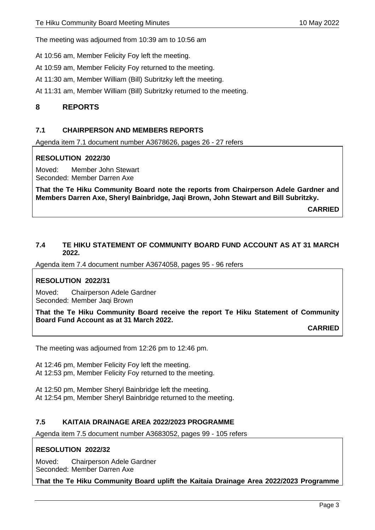The meeting was adjourned from 10:39 am to 10:56 am

At 10:56 am, Member Felicity Foy left the meeting.

At 10:59 am, Member Felicity Foy returned to the meeting.

At 11:30 am, Member William (Bill) Subritzky left the meeting.

At 11:31 am, Member William (Bill) Subritzky returned to the meeting.

# **8 REPORTS**

## **7.1 CHAIRPERSON AND MEMBERS REPORTS**

Agenda item 7.1 document number A3678626, pages 26 - 27 refers

## **RESOLUTION 2022/30**

Moved: Member John Stewart Seconded: Member Darren Axe

**That the Te Hiku Community Board note the reports from Chairperson Adele Gardner and Members Darren Axe, Sheryl Bainbridge, Jaqi Brown, John Stewart and Bill Subritzky.**

**CARRIED**

### **7.4 TE HIKU STATEMENT OF COMMUNITY BOARD FUND ACCOUNT AS AT 31 MARCH 2022.**

Agenda item 7.4 document number A3674058, pages 95 - 96 refers

## **RESOLUTION 2022/31**

Moved: Chairperson Adele Gardner Seconded: Member Jaqi Brown

**That the Te Hiku Community Board receive the report Te Hiku Statement of Community Board Fund Account as at 31 March 2022.**

**CARRIED**

The meeting was adjourned from 12:26 pm to 12:46 pm.

At 12:46 pm, Member Felicity Foy left the meeting. At 12:53 pm, Member Felicity Foy returned to the meeting.

At 12:50 pm, Member Sheryl Bainbridge left the meeting. At 12:54 pm, Member Sheryl Bainbridge returned to the meeting.

## **7.5 KAITAIA DRAINAGE AREA 2022/2023 PROGRAMME**

Agenda item 7.5 document number A3683052, pages 99 - 105 refers

## **RESOLUTION 2022/32**

Moved: Chairperson Adele Gardner Seconded: Member Darren Axe

**That the Te Hiku Community Board uplift the Kaitaia Drainage Area 2022/2023 Programme**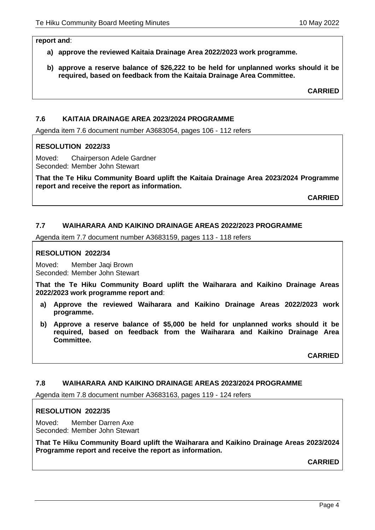#### **report and**:

- **a) approve the reviewed Kaitaia Drainage Area 2022/2023 work programme.**
- **b) approve a reserve balance of \$26,222 to be held for unplanned works should it be required, based on feedback from the Kaitaia Drainage Area Committee.**

**CARRIED**

### **7.6 KAITAIA DRAINAGE AREA 2023/2024 PROGRAMME**

Agenda item 7.6 document number A3683054, pages 106 - 112 refers

#### **RESOLUTION 2022/33**

Moved: Chairperson Adele Gardner Seconded: Member John Stewart

**That the Te Hiku Community Board uplift the Kaitaia Drainage Area 2023/2024 Programme report and receive the report as information.**

**CARRIED**

## **7.7 WAIHARARA AND KAIKINO DRAINAGE AREAS 2022/2023 PROGRAMME**

Agenda item 7.7 document number A3683159, pages 113 - 118 refers

#### **RESOLUTION 2022/34**

Moved: Member Jaqi Brown Seconded: Member John Stewart

**That the Te Hiku Community Board uplift the Waiharara and Kaikino Drainage Areas 2022/2023 work programme report and**:

- **a) Approve the reviewed Waiharara and Kaikino Drainage Areas 2022/2023 work programme.**
- **b) Approve a reserve balance of \$5,000 be held for unplanned works should it be required, based on feedback from the Waiharara and Kaikino Drainage Area Committee.**

**CARRIED**

## **7.8 WAIHARARA AND KAIKINO DRAINAGE AREAS 2023/2024 PROGRAMME**

Agenda item 7.8 document number A3683163, pages 119 - 124 refers

#### **RESOLUTION 2022/35**

Moved: Member Darren Axe Seconded: Member John Stewart

**That Te Hiku Community Board uplift the Waiharara and Kaikino Drainage Areas 2023/2024 Programme report and receive the report as information.**

**CARRIED**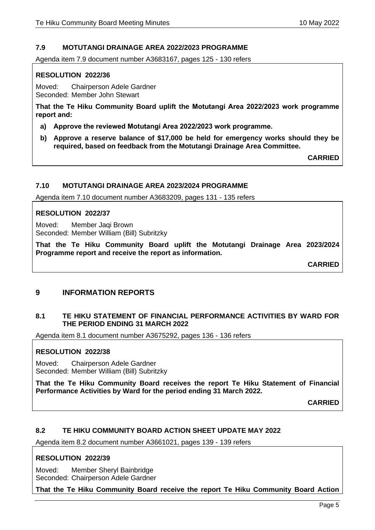## **7.9 MOTUTANGI DRAINAGE AREA 2022/2023 PROGRAMME**

Agenda item 7.9 document number A3683167, pages 125 - 130 refers

## **RESOLUTION 2022/36**

Moved: Chairperson Adele Gardner Seconded: Member John Stewart

**That the Te Hiku Community Board uplift the Motutangi Area 2022/2023 work programme report and:**

- **a) Approve the reviewed Motutangi Area 2022/2023 work programme.**
- **b) Approve a reserve balance of \$17,000 be held for emergency works should they be required, based on feedback from the Motutangi Drainage Area Committee.**

**CARRIED**

#### **7.10 MOTUTANGI DRAINAGE AREA 2023/2024 PROGRAMME**

Agenda item 7.10 document number A3683209, pages 131 - 135 refers

## **RESOLUTION 2022/37**

Moved: Member Jaqi Brown Seconded: Member William (Bill) Subritzky

**That the Te Hiku Community Board uplift the Motutangi Drainage Area 2023/2024 Programme report and receive the report as information.**

**CARRIED**

## **9 INFORMATION REPORTS**

## **8.1 TE HIKU STATEMENT OF FINANCIAL PERFORMANCE ACTIVITIES BY WARD FOR THE PERIOD ENDING 31 MARCH 2022**

Agenda item 8.1 document number A3675292, pages 136 - 136 refers

## **RESOLUTION 2022/38**

Moved: Chairperson Adele Gardner Seconded: Member William (Bill) Subritzky

**That the Te Hiku Community Board receives the report Te Hiku Statement of Financial Performance Activities by Ward for the period ending 31 March 2022.**

**CARRIED**

## **8.2 TE HIKU COMMUNITY BOARD ACTION SHEET UPDATE MAY 2022**

Agenda item 8.2 document number A3661021, pages 139 - 139 refers

## **RESOLUTION 2022/39**

Moved: Member Sheryl Bainbridge Seconded: Chairperson Adele Gardner

**That the Te Hiku Community Board receive the report Te Hiku Community Board Action**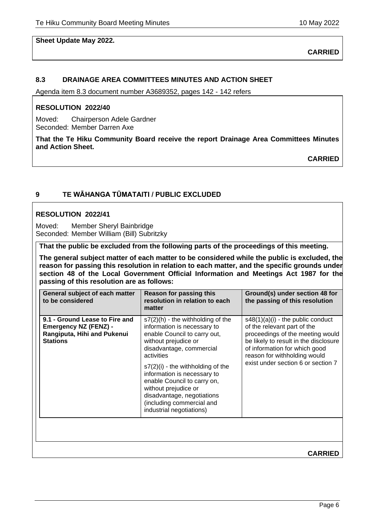## **Sheet Update May 2022.**

**CARRIED**

## **8.3 DRAINAGE AREA COMMITTEES MINUTES AND ACTION SHEET**

Agenda item 8.3 document number A3689352, pages 142 - 142 refers

#### **RESOLUTION 2022/40**

Moved: Chairperson Adele Gardner Seconded: Member Darren Axe

**That the Te Hiku Community Board receive the report Drainage Area Committees Minutes and Action Sheet.**

**CARRIED**

#### **9 TE WĀHANGA TŪMATAITI / PUBLIC EXCLUDED**

#### **RESOLUTION 2022/41**

Moved: Member Sheryl Bainbridge Seconded: Member William (Bill) Subritzky

**That the public be excluded from the following parts of the proceedings of this meeting.**

**The general subject matter of each matter to be considered while the public is excluded, the reason for passing this resolution in relation to each matter, and the specific grounds under section 48 of the Local Government Official Information and Meetings Act 1987 for the passing of this resolution are as follows:**

| General subject of each matter<br>to be considered                                                               | Reason for passing this<br>resolution in relation to each<br>matter                                                                                                                                                                                                                                                                                                                       | Ground(s) under section 48 for<br>the passing of this resolution                                                                                                                                                                                       |
|------------------------------------------------------------------------------------------------------------------|-------------------------------------------------------------------------------------------------------------------------------------------------------------------------------------------------------------------------------------------------------------------------------------------------------------------------------------------------------------------------------------------|--------------------------------------------------------------------------------------------------------------------------------------------------------------------------------------------------------------------------------------------------------|
| 9.1 - Ground Lease to Fire and<br><b>Emergency NZ (FENZ) -</b><br>Rangiputa, Hihi and Pukenui<br><b>Stations</b> | $s7(2)$ (h) - the withholding of the<br>information is necessary to<br>enable Council to carry out,<br>without prejudice or<br>disadvantage, commercial<br>activities<br>$s7(2)(i)$ - the withholding of the<br>information is necessary to<br>enable Council to carry on,<br>without prejudice or<br>disadvantage, negotiations<br>(including commercial and<br>industrial negotiations) | $s48(1)(a)(i)$ - the public conduct<br>of the relevant part of the<br>proceedings of the meeting would<br>be likely to result in the disclosure<br>of information for which good<br>reason for withholding would<br>exist under section 6 or section 7 |
|                                                                                                                  |                                                                                                                                                                                                                                                                                                                                                                                           |                                                                                                                                                                                                                                                        |
|                                                                                                                  |                                                                                                                                                                                                                                                                                                                                                                                           | <b>CARRIED</b>                                                                                                                                                                                                                                         |